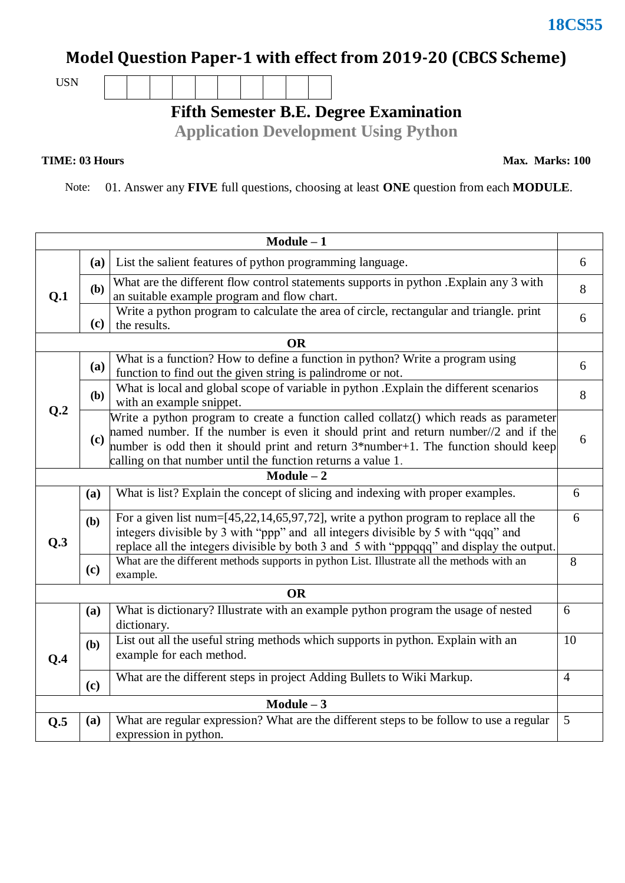## **18CS55**

## **Model Question Paper-1 with effect from 2019-20 (CBCS Scheme)**

USN

**Fifth Semester B.E. Degree Examination**

**Application Development Using Python**

## **TIME: 03 Hours**

**Max. Marks: 100**

Note: 01. Answer any **FIVE** full questions, choosing at least **ONE** question from each **MODULE**.

| $Module - 1$ |     |                                                                                                                                                                                                                                                                                                                                       |                |  |  |  |
|--------------|-----|---------------------------------------------------------------------------------------------------------------------------------------------------------------------------------------------------------------------------------------------------------------------------------------------------------------------------------------|----------------|--|--|--|
| Q.1          | (a) | List the salient features of python programming language.                                                                                                                                                                                                                                                                             | 6              |  |  |  |
|              | (b) | What are the different flow control statements supports in python . Explain any 3 with<br>an suitable example program and flow chart.                                                                                                                                                                                                 | 8              |  |  |  |
|              | (c) | Write a python program to calculate the area of circle, rectangular and triangle. print<br>the results.                                                                                                                                                                                                                               | 6              |  |  |  |
|              |     | <b>OR</b>                                                                                                                                                                                                                                                                                                                             |                |  |  |  |
| Q.2          | (a) | What is a function? How to define a function in python? Write a program using<br>function to find out the given string is palindrome or not.                                                                                                                                                                                          | 6              |  |  |  |
|              | (b) | What is local and global scope of variable in python . Explain the different scenarios<br>with an example snippet.                                                                                                                                                                                                                    | 8              |  |  |  |
|              | (c) | Write a python program to create a function called collatz() which reads as parameter<br>hamed number. If the number is even it should print and return number//2 and if the<br>number is odd then it should print and return $3*$ number+1. The function should keep<br>calling on that number until the function returns a value 1. | 6              |  |  |  |
|              |     | Module $-\overline{2}$                                                                                                                                                                                                                                                                                                                |                |  |  |  |
| Q.3          | (a) | What is list? Explain the concept of slicing and indexing with proper examples.                                                                                                                                                                                                                                                       | 6              |  |  |  |
|              | (b) | For a given list num= $[45,22,14,65,97,72]$ , write a python program to replace all the<br>integers divisible by 3 with "ppp" and all integers divisible by 5 with "qqq" and<br>replace all the integers divisible by both 3 and 5 with "pppqqq" and display the output.                                                              | 6              |  |  |  |
|              | (c) | What are the different methods supports in python List. Illustrate all the methods with an<br>example.                                                                                                                                                                                                                                | 8              |  |  |  |
| <b>OR</b>    |     |                                                                                                                                                                                                                                                                                                                                       |                |  |  |  |
|              | (a) | What is dictionary? Illustrate with an example python program the usage of nested<br>dictionary.                                                                                                                                                                                                                                      | 6              |  |  |  |
| Q.4          | (b) | List out all the useful string methods which supports in python. Explain with an<br>example for each method.                                                                                                                                                                                                                          | 10             |  |  |  |
|              | (c) | What are the different steps in project Adding Bullets to Wiki Markup.                                                                                                                                                                                                                                                                | $\overline{4}$ |  |  |  |
| $Module - 3$ |     |                                                                                                                                                                                                                                                                                                                                       |                |  |  |  |
| Q.5          | (a) | What are regular expression? What are the different steps to be follow to use a regular<br>expression in python.                                                                                                                                                                                                                      | 5              |  |  |  |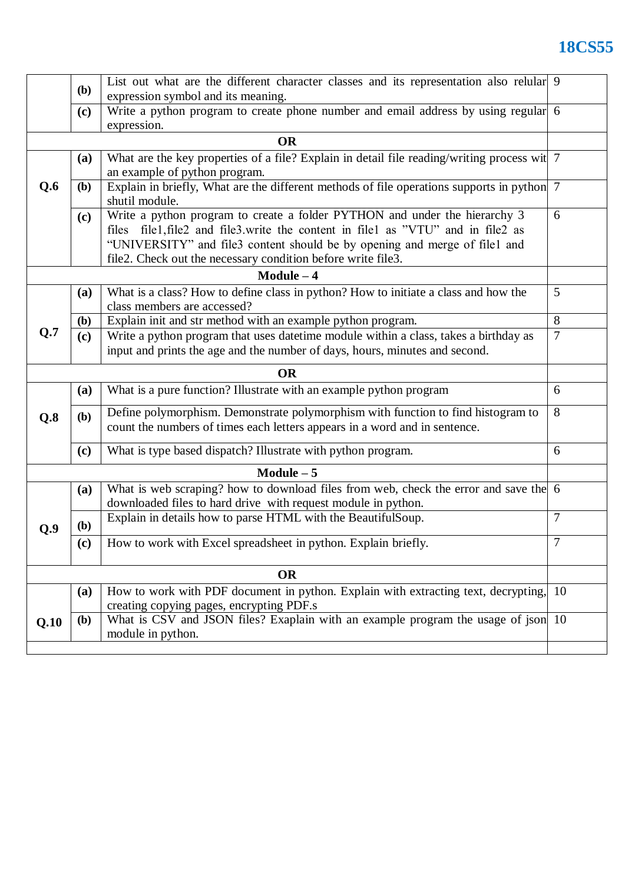## **18CS55**

|           | <b>(b)</b>         | List out what are the different character classes and its representation also relular 9                                                                        |                |  |  |  |
|-----------|--------------------|----------------------------------------------------------------------------------------------------------------------------------------------------------------|----------------|--|--|--|
|           |                    | expression symbol and its meaning.<br>Write a python program to create phone number and email address by using regular 6                                       |                |  |  |  |
|           | (c)<br>expression. |                                                                                                                                                                |                |  |  |  |
| <b>OR</b> |                    |                                                                                                                                                                |                |  |  |  |
|           | (a)                | What are the key properties of a file? Explain in detail file reading/writing process wit 7                                                                    |                |  |  |  |
|           |                    | an example of python program.                                                                                                                                  |                |  |  |  |
| Q.6       | (b)                | Explain in briefly, What are the different methods of file operations supports in python 7<br>shutil module.                                                   |                |  |  |  |
|           | (c)                | Write a python program to create a folder PYTHON and under the hierarchy 3                                                                                     | 6              |  |  |  |
|           |                    | files file1, file2 and file3.write the content in file1 as "VTU" and in file2 as                                                                               |                |  |  |  |
|           |                    | "UNIVERSITY" and file3 content should be by opening and merge of file1 and                                                                                     |                |  |  |  |
|           |                    | file2. Check out the necessary condition before write file3.                                                                                                   |                |  |  |  |
|           |                    | $Module - 4$                                                                                                                                                   |                |  |  |  |
|           | (a)                | What is a class? How to define class in python? How to initiate a class and how the<br>class members are accessed?                                             | 5              |  |  |  |
|           | <b>(b)</b>         | Explain init and str method with an example python program.                                                                                                    | 8              |  |  |  |
| Q.7       | (c)                | Write a python program that uses datetime module within a class, takes a birthday as                                                                           | $\overline{7}$ |  |  |  |
|           |                    | input and prints the age and the number of days, hours, minutes and second.                                                                                    |                |  |  |  |
| <b>OR</b> |                    |                                                                                                                                                                |                |  |  |  |
|           |                    |                                                                                                                                                                |                |  |  |  |
|           | (a)                | What is a pure function? Illustrate with an example python program                                                                                             | 6              |  |  |  |
| Q.8       | (b)                | Define polymorphism. Demonstrate polymorphism with function to find histogram to<br>count the numbers of times each letters appears in a word and in sentence. | 8              |  |  |  |
|           | (c)                | What is type based dispatch? Illustrate with python program.                                                                                                   | 6              |  |  |  |
|           |                    | $Module - 5$                                                                                                                                                   |                |  |  |  |
|           | (a)                | What is web scraping? how to download files from web, check the error and save the 6<br>downloaded files to hard drive with request module in python.          |                |  |  |  |
| Q.9       | ( <b>b</b> )       | Explain in details how to parse HTML with the BeautifulSoup.                                                                                                   | $\overline{7}$ |  |  |  |
|           | (c)                | How to work with Excel spreadsheet in python. Explain briefly.                                                                                                 | $\tau$         |  |  |  |
|           |                    | <b>OR</b>                                                                                                                                                      |                |  |  |  |
|           | (a)                | How to work with PDF document in python. Explain with extracting text, decrypting,                                                                             | 10             |  |  |  |
|           |                    | creating copying pages, encrypting PDF.s                                                                                                                       |                |  |  |  |
| Q.10      | (b)                | What is CSV and JSON files? Exaplain with an example program the usage of json 10<br>module in python.                                                         |                |  |  |  |